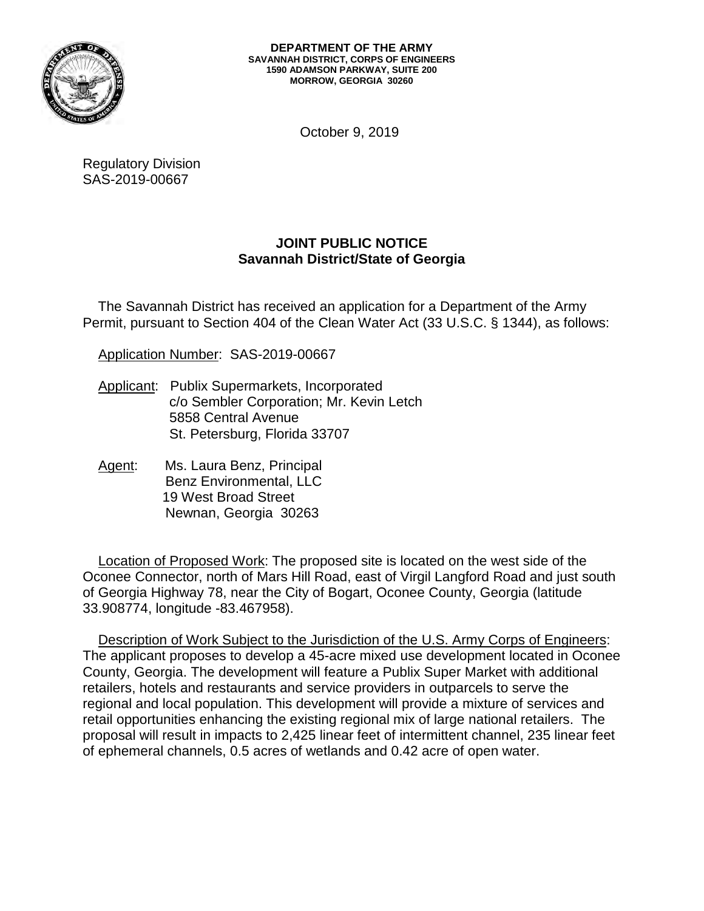

October 9, 2019

Regulatory Division SAS-2019-00667

# **JOINT PUBLIC NOTICE Savannah District/State of Georgia**

 Permit, pursuant to Section 404 of the Clean Water Act (33 U.S.C. § 1344), as follows: The Savannah District has received an application for a Department of the Army

Application Number: SAS-2019-00667

- Applicant: Publix Supermarkets, Incorporated c/o Sembler Corporation; Mr. Kevin Letch 5858 Central Avenue St. Petersburg, Florida 33707
- Agent: Ms. Laura Benz, Principal Benz Environmental, LLC 19 West Broad Street Newnan, Georgia 30263

Location of Proposed Work: The proposed site is located on the west side of the Oconee Connector, north of Mars Hill Road, east of Virgil Langford Road and just south of Georgia Highway 78, near the City of Bogart, Oconee County, Georgia (latitude 33.908774, longitude -83.467958).

 regional and local population. This development will provide a mixture of services and proposal will result in impacts to 2,425 linear feet of intermittent channel, 235 linear feet Description of Work Subject to the Jurisdiction of the U.S. Army Corps of Engineers: The applicant proposes to develop a 45-acre mixed use development located in Oconee County, Georgia. The development will feature a Publix Super Market with additional retailers, hotels and restaurants and service providers in outparcels to serve the retail opportunities enhancing the existing regional mix of large national retailers. The of ephemeral channels, 0.5 acres of wetlands and 0.42 acre of open water.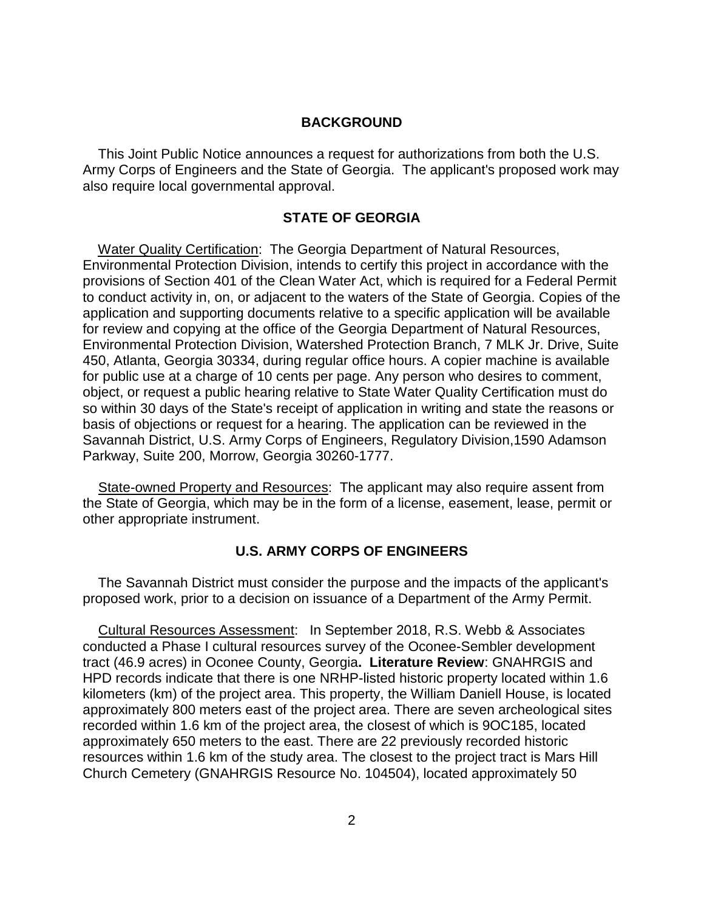#### **BACKGROUND**

 Army Corps of Engineers and the State of Georgia. The applicant's proposed work may This Joint Public Notice announces a request for authorizations from both the U.S. also require local governmental approval.

### **STATE OF GEORGIA**

 450, Atlanta, Georgia 30334, during regular office hours. A copier machine is available basis of objections or request for a hearing. The application can be reviewed in the Water Quality Certification: The Georgia Department of Natural Resources, Environmental Protection Division, intends to certify this project in accordance with the provisions of Section 401 of the Clean Water Act, which is required for a Federal Permit to conduct activity in, on, or adjacent to the waters of the State of Georgia. Copies of the application and supporting documents relative to a specific application will be available for review and copying at the office of the Georgia Department of Natural Resources, Environmental Protection Division, Watershed Protection Branch, 7 MLK Jr. Drive, Suite for public use at a charge of 10 cents per page. Any person who desires to comment, object, or request a public hearing relative to State Water Quality Certification must do so within 30 days of the State's receipt of application in writing and state the reasons or Savannah District, U.S. Army Corps of Engineers, Regulatory Division,1590 Adamson Parkway, Suite 200, Morrow, Georgia 30260-1777.

 the State of Georgia, which may be in the form of a license, easement, lease, permit or State-owned Property and Resources: The applicant may also require assent from other appropriate instrument.

### **U.S. ARMY CORPS OF ENGINEERS**

The Savannah District must consider the purpose and the impacts of the applicant's proposed work, prior to a decision on issuance of a Department of the Army Permit.

 approximately 800 meters east of the project area. There are seven archeological sites approximately 650 meters to the east. There are 22 previously recorded historic Cultural Resources Assessment: In September 2018, R.S. Webb & Associates conducted a Phase I cultural resources survey of the Oconee-Sembler development tract (46.9 acres) in Oconee County, Georgia**. Literature Review**: GNAHRGIS and HPD records indicate that there is one NRHP-listed historic property located within 1.6 kilometers (km) of the project area. This property, the William Daniell House, is located recorded within 1.6 km of the project area, the closest of which is 9OC185, located resources within 1.6 km of the study area. The closest to the project tract is Mars Hill Church Cemetery (GNAHRGIS Resource No. 104504), located approximately 50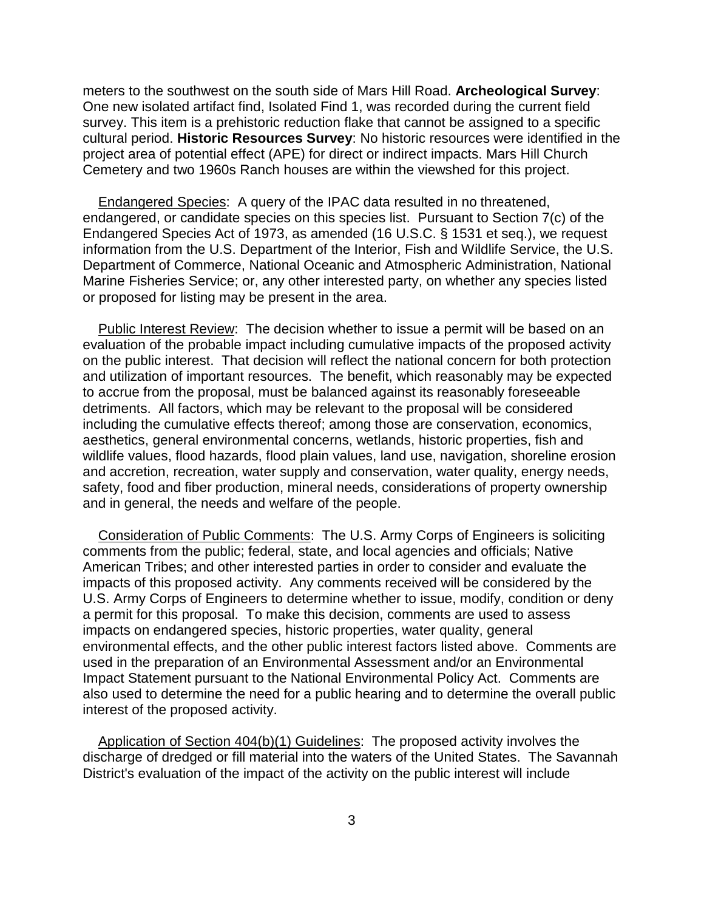meters to the southwest on the south side of Mars Hill Road. **Archeological Survey**: One new isolated artifact find, Isolated Find 1, was recorded during the current field survey. This item is a prehistoric reduction flake that cannot be assigned to a specific cultural period. **Historic Resources Survey**: No historic resources were identified in the project area of potential effect (APE) for direct or indirect impacts. Mars Hill Church Cemetery and two 1960s Ranch houses are within the viewshed for this project.

 Endangered Species Act of 1973, as amended (16 U.S.C. § 1531 et seq.), we request Endangered Species: A query of the IPAC data resulted in no threatened, endangered, or candidate species on this species list. Pursuant to Section 7(c) of the information from the U.S. Department of the Interior, Fish and Wildlife Service, the U.S. Department of Commerce, National Oceanic and Atmospheric Administration, National Marine Fisheries Service; or, any other interested party, on whether any species listed or proposed for listing may be present in the area.

 evaluation of the probable impact including cumulative impacts of the proposed activity on the public interest. That decision will reflect the national concern for both protection and utilization of important resources. The benefit, which reasonably may be expected safety, food and fiber production, mineral needs, considerations of property ownership Public Interest Review: The decision whether to issue a permit will be based on an to accrue from the proposal, must be balanced against its reasonably foreseeable detriments. All factors, which may be relevant to the proposal will be considered including the cumulative effects thereof; among those are conservation, economics, aesthetics, general environmental concerns, wetlands, historic properties, fish and wildlife values, flood hazards, flood plain values, land use, navigation, shoreline erosion and accretion, recreation, water supply and conservation, water quality, energy needs, and in general, the needs and welfare of the people.

 comments from the public; federal, state, and local agencies and officials; Native a permit for this proposal. To make this decision, comments are used to assess Consideration of Public Comments: The U.S. Army Corps of Engineers is soliciting American Tribes; and other interested parties in order to consider and evaluate the impacts of this proposed activity. Any comments received will be considered by the U.S. Army Corps of Engineers to determine whether to issue, modify, condition or deny impacts on endangered species, historic properties, water quality, general environmental effects, and the other public interest factors listed above. Comments are used in the preparation of an Environmental Assessment and/or an Environmental Impact Statement pursuant to the National Environmental Policy Act. Comments are also used to determine the need for a public hearing and to determine the overall public interest of the proposed activity.

 discharge of dredged or fill material into the waters of the United States. The Savannah Application of Section 404(b)(1) Guidelines: The proposed activity involves the District's evaluation of the impact of the activity on the public interest will include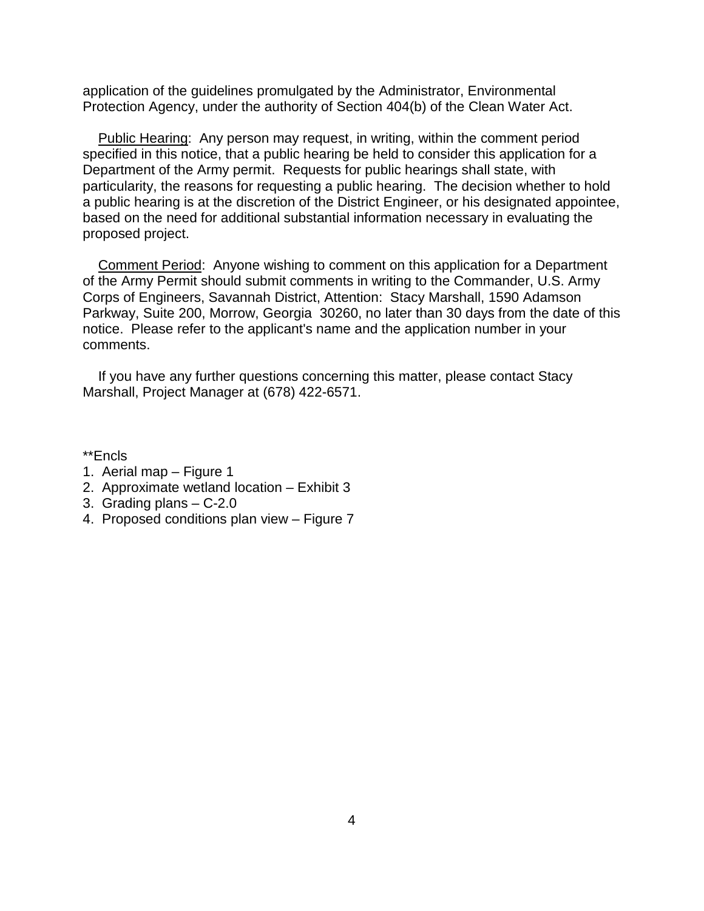application of the guidelines promulgated by the Administrator, Environmental Protection Agency, under the authority of Section 404(b) of the Clean Water Act.

 Department of the Army permit. Requests for public hearings shall state, with particularity, the reasons for requesting a public hearing. The decision whether to hold based on the need for additional substantial information necessary in evaluating the Public Hearing: Any person may request, in writing, within the comment period specified in this notice, that a public hearing be held to consider this application for a a public hearing is at the discretion of the District Engineer, or his designated appointee, proposed project.

 of the Army Permit should submit comments in writing to the Commander, U.S. Army Corps of Engineers, Savannah District, Attention: Stacy Marshall, 1590 Adamson Comment Period: Anyone wishing to comment on this application for a Department Parkway, Suite 200, Morrow, Georgia 30260, no later than 30 days from the date of this notice. Please refer to the applicant's name and the application number in your comments.

If you have any further questions concerning this matter, please contact Stacy Marshall, Project Manager at (678) 422-6571.

\*\*Encls

- 1. Aerial map Figure 1
- 2. Approximate wetland location Exhibit 3
- 3. Grading plans C-2.0
- 4. Proposed conditions plan view Figure 7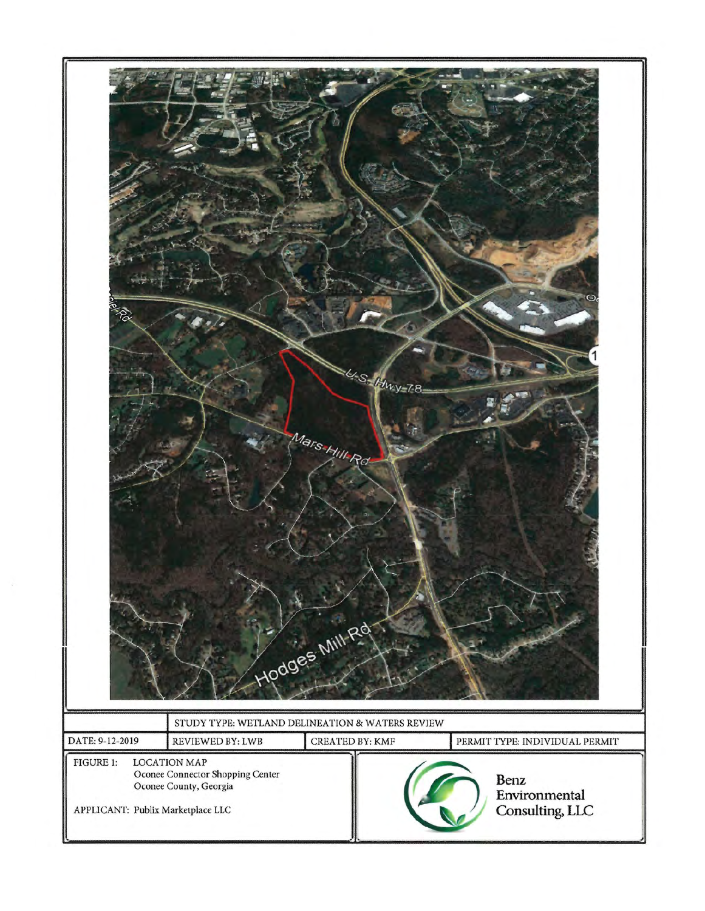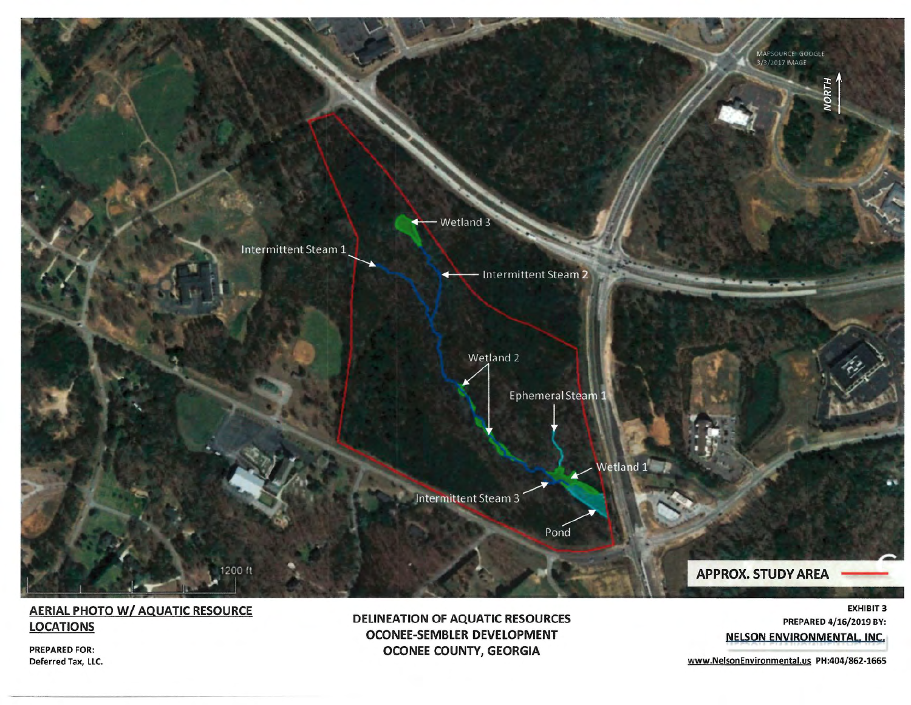

## AERIAL PHOTO W/ AQUATIC RESOURCE LOCATIONS

PREPARED FOR: Deferred Tax, LLC. DELINEATION OF AQUATIC RESOURCES OCONEE-SEMBLER DEVELOPMENT OCONEE COUNTY, GEORGIA

EXHIBIT 3 PREPARED 4/16/2019 BY: NELSON ENVIRONMENTAL, INC,

<www.NelsonEnvironmental.us> PH:404/862-1665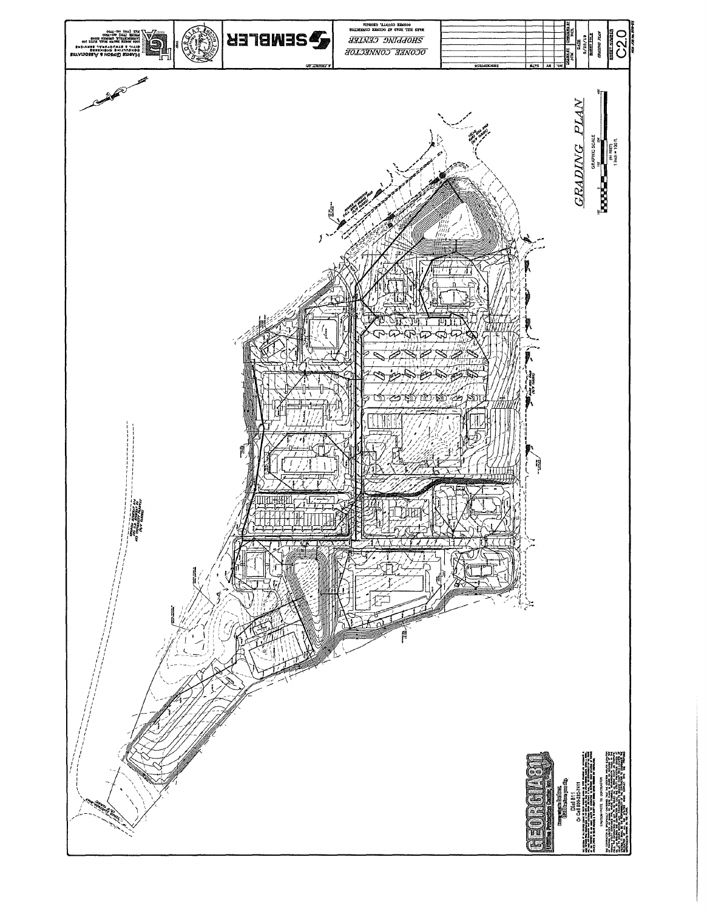